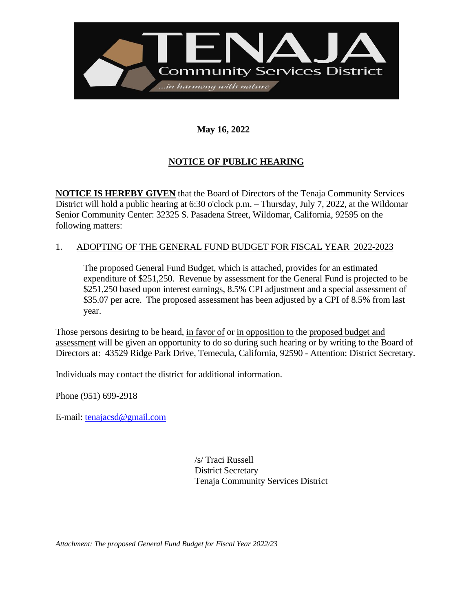

## **May 16, 2022**

## **NOTICE OF PUBLIC HEARING**

**NOTICE IS HEREBY GIVEN** that the Board of Directors of the Tenaja Community Services District will hold a public hearing at 6:30 o'clock p.m. – Thursday, July 7, 2022, at the Wildomar Senior Community Center: 32325 S. Pasadena Street, Wildomar, California, 92595 on the following matters:

## 1. ADOPTING OF THE GENERAL FUND BUDGET FOR FISCAL YEAR 2022-2023

The proposed General Fund Budget, which is attached, provides for an estimated expenditure of \$251,250. Revenue by assessment for the General Fund is projected to be \$251,250 based upon interest earnings, 8.5% CPI adjustment and a special assessment of \$35.07 per acre. The proposed assessment has been adjusted by a CPI of 8.5% from last year.

Those persons desiring to be heard, in favor of or in opposition to the proposed budget and assessment will be given an opportunity to do so during such hearing or by writing to the Board of Directors at: 43529 Ridge Park Drive, Temecula, California, 92590 - Attention: District Secretary.

Individuals may contact the district for additional information.

Phone (951) 699-2918

E-mail: [tenajacsd@gmail.com](mailto:tenajacsd@gmail.com)

/s/ Traci Russell District Secretary Tenaja Community Services District

*Attachment: The proposed General Fund Budget for Fiscal Year 2022/23*